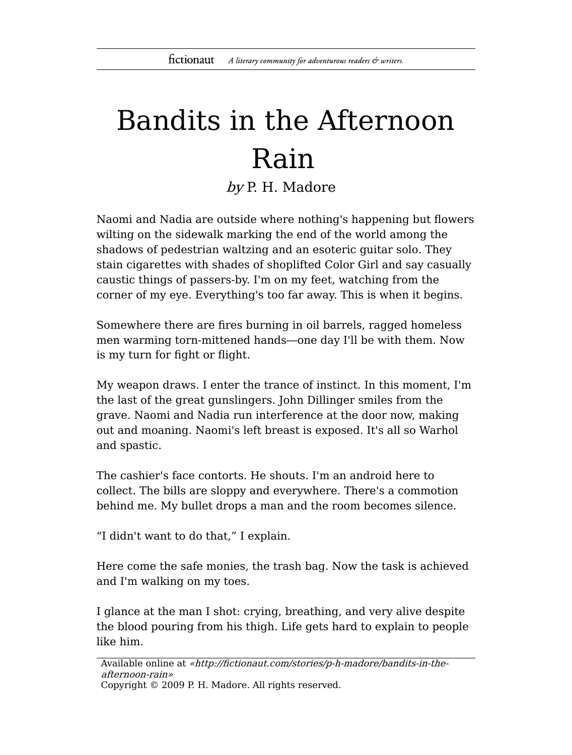## Bandits in the Afternoon Rain

by P. H. Madore

Naomi and Nadia are outside where nothing's happening but flowers wilting on the sidewalk marking the end of the world among the shadows of pedestrian waltzing and an esoteric guitar solo. They stain cigarettes with shades of shoplifted Color Girl and say casually caustic things of passers-by. I'm on my feet, watching from the corner of my eye. Everything's too far away. This is when it begins.

Somewhere there are fires burning in oil barrels, ragged homeless men warming torn-mittened hands―one day I'll be with them. Now is my turn for fight or flight.

My weapon draws. I enter the trance of instinct. In this moment, I'm the last of the great gunslingers. John Dillinger smiles from the grave. Naomi and Nadia run interference at the door now, making out and moaning. Naomi's left breast is exposed. It's all so Warhol and spastic.

The cashier's face contorts. He shouts. I'm an android here to collect. The bills are sloppy and everywhere. There's a commotion behind me. My bullet drops a man and the room becomes silence.

"I didn't want to do that," I explain.

Here come the safe monies, the trash bag. Now the task is achieved and I'm walking on my toes.

I glance at the man I shot: crying, breathing, and very alive despite the blood pouring from his thigh. Life gets hard to explain to people like him.